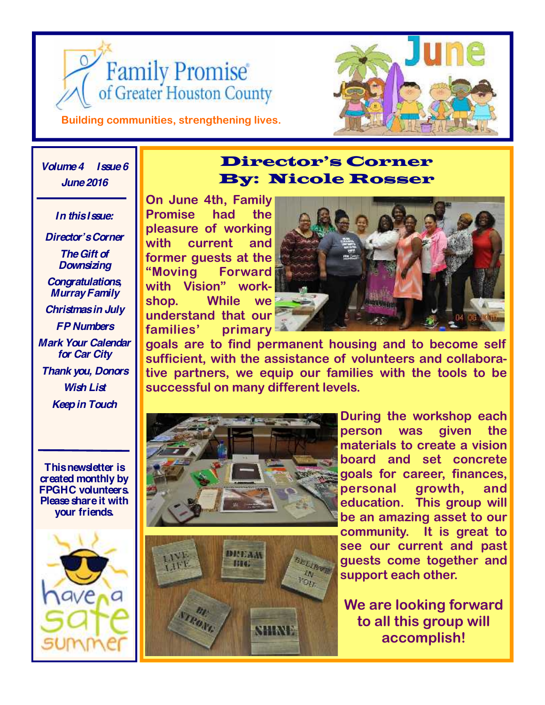



**Building communities, strengthening lives.**

### *Volume 4 Issue 6 June 2016*

*In this Issue: Director's Corner*

*The Gift of Downsizing Congratulations, Murray Family Christmas in July FP Numbers Mark Your Calendar for Car City Thank you, Donors Wish List Keep in Touch*

**This newsletter is created monthly by FPGHC volunteers. Please share it with your friends.**



## **Director's Corner By: Nicole Rosser**

**On June 4th, Family Promise had the pleasure of working with current and former guests at the "Moving Forward with Vision" workshop. While we understand that our families' primary**



**goals are to find permanent housing and to become self sufficient, with the assistance of volunteers and collaborative partners, we equip our families with the tools to be successful on many different levels.**





**During the workshop each person was given the materials to create a vision board and set concrete goals for career, finances, personal growth, and education. This group will be an amazing asset to our community. It is great to see our current and past guests come together and support each other.**

**We are looking forward to all this group will accomplish!**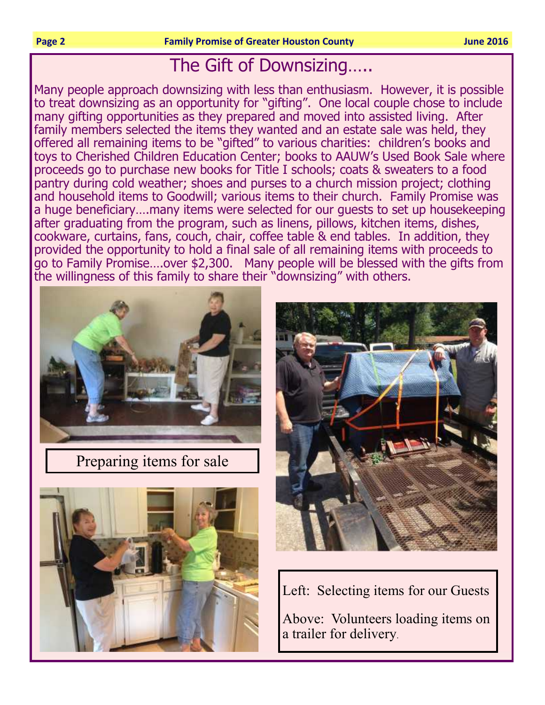**Example 2016 County County County County County County County County County County County County** 

## The Gift of Downsizing…..

Many people approach downsizing with less than enthusiasm. However, it is possible to treat downsizing as an opportunity for "gifting". One local couple chose to include many gifting opportunities as they prepared and moved into assisted living. After family members selected the items they wanted and an estate sale was held, they offered all remaining items to be "gifted" to various charities: children's books and toys to Cherished Children Education Center; books to AAUW's Used Book Sale where proceeds go to purchase new books for Title I schools; coats & sweaters to a food pantry during cold weather; shoes and purses to a church mission project; clothing and household items to Goodwill; various items to their church. Family Promise was a huge beneficiary….many items were selected for our guests to set up housekeeping after graduating from the program, such as linens, pillows, kitchen items, dishes, cookware, curtains, fans, couch, chair, coffee table & end tables. In addition, they provided the opportunity to hold a final sale of all remaining items with proceeds to go to Family Promise….over \$2,300. Many people will be blessed with the gifts from the willingness of this family to share their "downsizing" with others.



Preparing items for sale





Left: Selecting items for our Guests

Above: Volunteers loading items on a trailer for delivery.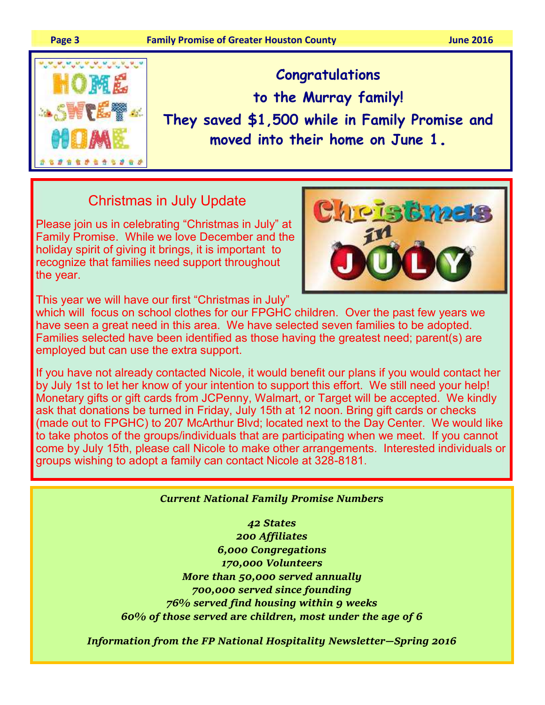

Congratulations to the Murray family! They saved \$1,500 while in Family Promise and moved into their home on June 1.

## Christmas in July Update

Please join us in celebrating "Christmas in July" at Family Promise. While we love December and the holiday spirit of giving it brings, it is important to recognize that families need support throughout the year.



This year we will have our first "Christmas in July"

which will focus on school clothes for our FPGHC children. Over the past few years we have seen a great need in this area. We have selected seven families to be adopted. Families selected have been identified as those having the greatest need; parent(s) are employed but can use the extra support.

If you have not already contacted Nicole, it would benefit our plans if you would contact her by July 1st to let her know of your intention to support this effort. We still need your help! Monetary gifts or gift cards from JCPenny, Walmart, or Target will be accepted. We kindly ask that donations be turned in Friday, July 15th at 12 noon. Bring gift cards or checks (made out to FPGHC) to 207 McArthur Blvd; located next to the Day Center. We would like to take photos of the groups/individuals that are participating when we meet. If you cannot come by July 15th, please call Nicole to make other arrangements. Interested individuals or groups wishing to adopt a family can contact Nicole at 328-8181.

#### **Current National Family Promise Numbers**

42 States 200 Affiliates 6,000 Congregations 170,000 Volunteers More than 50,000 served annually 700,000 served since founding 76% served find housing within 9 weeks 60% of those served are children, most under the age of 6  $\,$ 

Information from the FP National Hospitality Newsletter–Spring 2016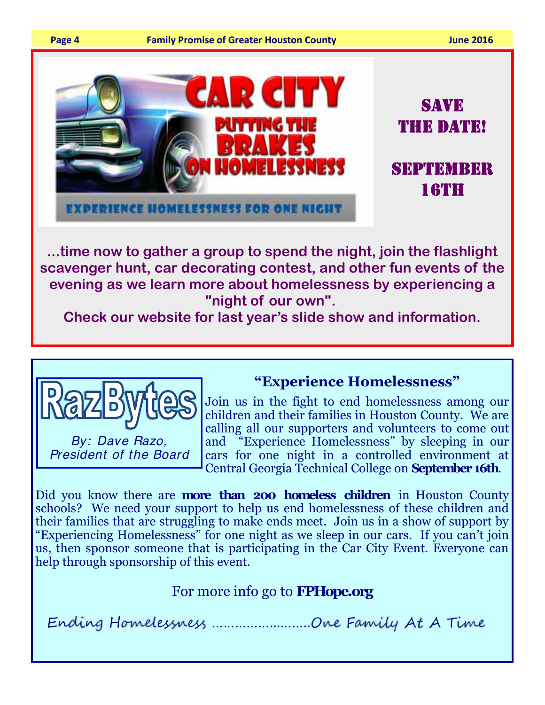

## **"night of our own".**

**Check our website for last year's slide show and information.**



"Experience Homelessness" Join us in the fight to end homelessness among our

children and their families in Houston County. We are calling all our supporters and volunteers to come out and "Experience Homelessness" by sleeping in our cars for one night in a controlled environment at Central Georgia Technical College on September 16th.

Did you know there are **more than 200 homeless children** in Houston County schools? We need your support to help us end homelessness of these children and their families that are struggling to make ends meet. Join us in a show of support by "Experiencing Homelessness" for one night as we sleep in our cars. If you can't join us, then sponsor someone that is participating in the Car City Event. Everyone can help through sponsorship of this event.

## For more info go to **FPHope.org**

Ending Homelessness .......................One Family At A T